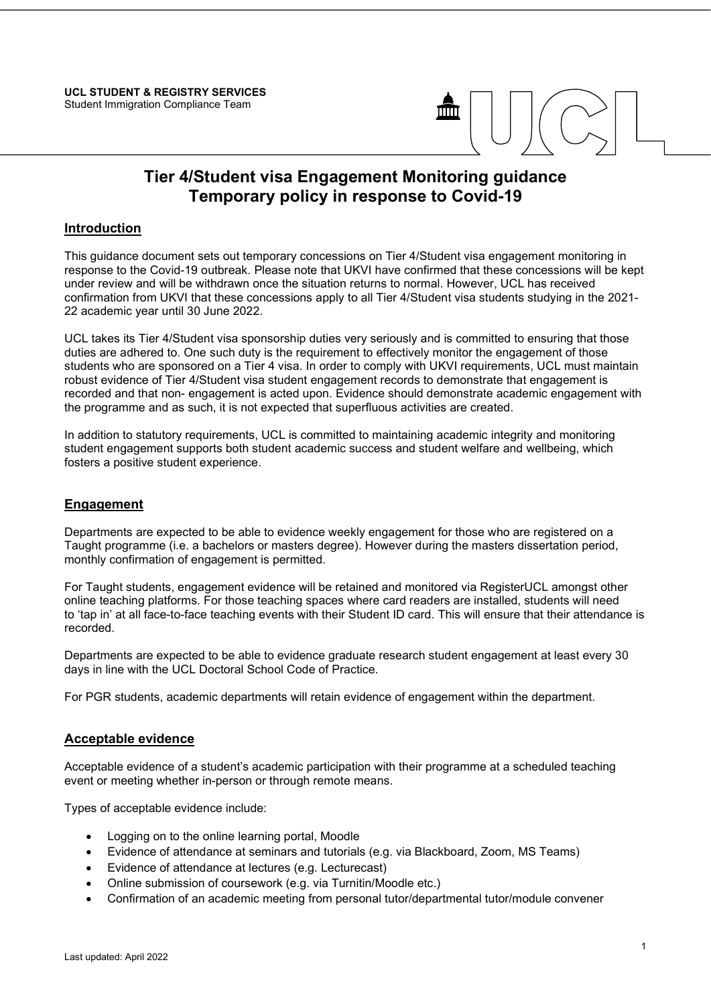

# Tier 4/Student visa Engagement Monitoring guidance Temporary policy in response to Covid-19

## **Introduction**

This guidance document sets out temporary concessions on Tier 4/Student visa engagement monitoring in response to the Covid-19 outbreak. Please note that UKVI have confirmed that these concessions will be kept under review and will be withdrawn once the situation returns to normal. However, UCL has received confirmation from UKVI that these concessions apply to all Tier 4/Student visa students studying in the 2021- 22 academic year until 30 June 2022.

UCL takes its Tier 4/Student visa sponsorship duties very seriously and is committed to ensuring that those duties are adhered to. One such duty is the requirement to effectively monitor the engagement of those students who are sponsored on a Tier 4 visa. In order to comply with UKVI requirements, UCL must maintain robust evidence of Tier 4/Student visa student engagement records to demonstrate that engagement is recorded and that non- engagement is acted upon. Evidence should demonstrate academic engagement with the programme and as such, it is not expected that superfluous activities are created.

In addition to statutory requirements, UCL is committed to maintaining academic integrity and monitoring student engagement supports both student academic success and student welfare and wellbeing, which fosters a positive student experience.

#### **Engagement**

Departments are expected to be able to evidence weekly engagement for those who are registered on a Taught programme (i.e. a bachelors or masters degree). However during the masters dissertation period, monthly confirmation of engagement is permitted.

For Taught students, engagement evidence will be retained and monitored via RegisterUCL amongst other online teaching platforms. For those teaching spaces where card readers are installed, students will need to 'tap in' at all face-to-face teaching events with their Student ID card. This will ensure that their attendance is recorded.

Departments are expected to be able to evidence graduate research student engagement at least every 30 days in line with the UCL Doctoral School Code of Practice.

For PGR students, academic departments will retain evidence of engagement within the department.

#### Acceptable evidence

Acceptable evidence of a student's academic participation with their programme at a scheduled teaching event or meeting whether in-person or through remote means.

Types of acceptable evidence include:

- Logging on to the online learning portal, Moodle
- Evidence of attendance at seminars and tutorials (e.g. via Blackboard, Zoom, MS Teams)
- Evidence of attendance at lectures (e.g. Lecturecast)
- Online submission of coursework (e.g. via Turnitin/Moodle etc.)
- Confirmation of an academic meeting from personal tutor/departmental tutor/module convener